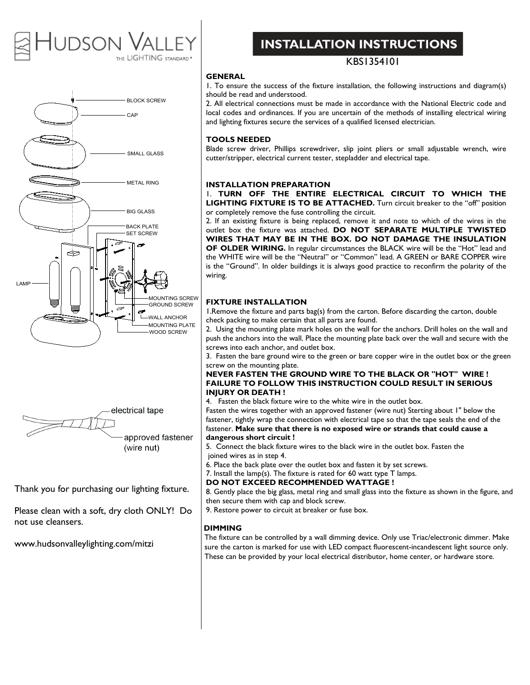# **DSON** THE LIGHTING STANDARD\*





Thank you for purchasing our lighting fixture.

Please clean with a soft, dry cloth ONLY! Do not use cleansers.

www.hudsonvalleylighting.com/mitzi

# **INSTALLATION INSTRUCTIONS**

# KBS1354101

# **GENERAL**

1. To ensure the success of the fixture installation, the following instructions and diagram(s) should be read and understood.

2. All electrical connections must be made in accordance with the National Electric code and local codes and ordinances. If you are uncertain of the methods of installing electrical wiring and lighting fixtures secure the services of a qualified licensed electrician.

### **TOOLS NEEDED**

Blade screw driver, Phillips screwdriver, slip joint pliers or small adjustable wrench, wire cutter/stripper, electrical current tester, stepladder and electrical tape.

#### **INSTALLATION PREPARATION**

1. **TURN OFF THE ENTIRE ELECTRICAL CIRCUIT TO WHICH THE LIGHTING FIXTURE IS TO BE ATTACHED.** Turn circuit breaker to the "off" position or completely remove the fuse controlling the circuit.

2. If an existing fixture is being replaced, remove it and note to which of the wires in the outlet box the fixture was attached. **DO NOT SEPARATE MULTIPLE TWISTED WIRES THAT MAY BE IN THE BOX. DO NOT DAMAGE THE INSULATION OF OLDER WIRING.** In regular circumstances the BLACK wire will be the "Hot" lead and the WHITE wire will be the "Neutral" or "Common" lead. A GREEN or BARE COPPER wire is the "Ground". In older buildings it is always good practice to reconfirm the polarity of the wiring.

## **FIXTURE INSTALLATION**

1.Remove the fixture and parts bag(s) from the carton. Before discarding the carton, double check packing to make certain that all parts are found.

2. Using the mounting plate mark holes on the wall for the anchors. Drill holes on the wall and push the anchors into the wall. Place the mounting plate back over the wall and secure with the screws into each anchor, and outlet box.

3. Fasten the bare ground wire to the green or bare copper wire in the outlet box or the green screw on the mounting plate.

#### **NEVER FASTEN THE GROUND WIRE TO THE BLACK OR "HOT" WIRE ! FAILURE TO FOLLOW THIS INSTRUCTION COULD RESULT IN SERIOUS INJURY OR DEATH !**

4. Fasten the black fixture wire to the white wire in the outlet box.

Fasten the wires together with an approved fastener (wire nut) Sterting about 1" below the fastener, tightly wrap the connection with electrical tape so that the tape seals the end of the fastener. **Make sure that there is no exposed wire or strands that could cause a dangerous short circuit !**

- 5. Connect the black fixture wires to the black wire in the outlet box. Fasten the joined wires as in step 4.
- 6. Place the back plate over the outlet box and fasten it by set screws.
- 7. Install the lamp(s). The fixture is rated for 60 watt type T lamps.

#### **DO NOT EXCEED RECOMMENDED WATTAGE !**

8. Gently place the big glass, metal ring and small glass into the fixture as shown in the figure, and then secure them with cap and block screw.

9. Restore power to circuit at breaker or fuse box.

### **DIMMING**

The fixture can be controlled by a wall dimming device. Only use Triac/electronic dimmer. Make sure the carton is marked for use with LED compact fluorescent-incandescent light source only. These can be provided by your local electrical distributor, home center, or hardware store.